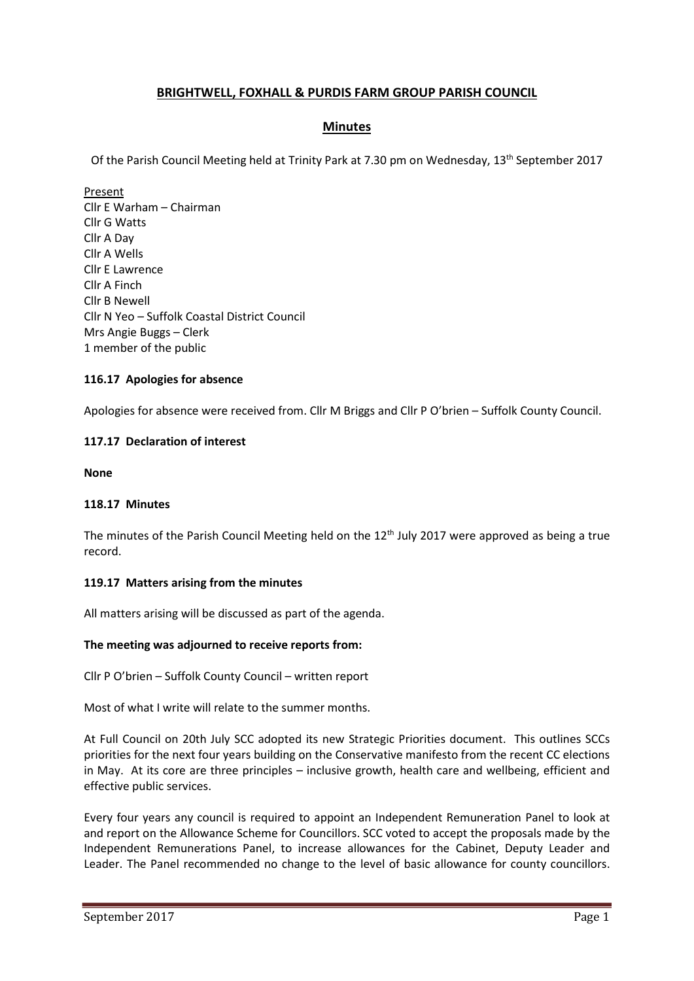# BRIGHTWELL, FOXHALL & PURDIS FARM GROUP PARISH COUNCIL

# Minutes

Of the Parish Council Meeting held at Trinity Park at 7.30 pm on Wednesday, 13th September 2017

Present Cllr E Warham – Chairman Cllr G Watts Cllr A Day Cllr A Wells Cllr E Lawrence Cllr A Finch Cllr B Newell Cllr N Yeo – Suffolk Coastal District Council Mrs Angie Buggs – Clerk 1 member of the public

## 116.17 Apologies for absence

Apologies for absence were received from. Cllr M Briggs and Cllr P O'brien – Suffolk County Council.

## 117.17 Declaration of interest

None

### 118.17 Minutes

The minutes of the Parish Council Meeting held on the 12<sup>th</sup> July 2017 were approved as being a true record.

### 119.17 Matters arising from the minutes

All matters arising will be discussed as part of the agenda.

### The meeting was adjourned to receive reports from:

Cllr P O'brien – Suffolk County Council – written report

Most of what I write will relate to the summer months.

At Full Council on 20th July SCC adopted its new Strategic Priorities document. This outlines SCCs priorities for the next four years building on the Conservative manifesto from the recent CC elections in May. At its core are three principles – inclusive growth, health care and wellbeing, efficient and effective public services.

Every four years any council is required to appoint an Independent Remuneration Panel to look at and report on the Allowance Scheme for Councillors. SCC voted to accept the proposals made by the Independent Remunerations Panel, to increase allowances for the Cabinet, Deputy Leader and Leader. The Panel recommended no change to the level of basic allowance for county councillors.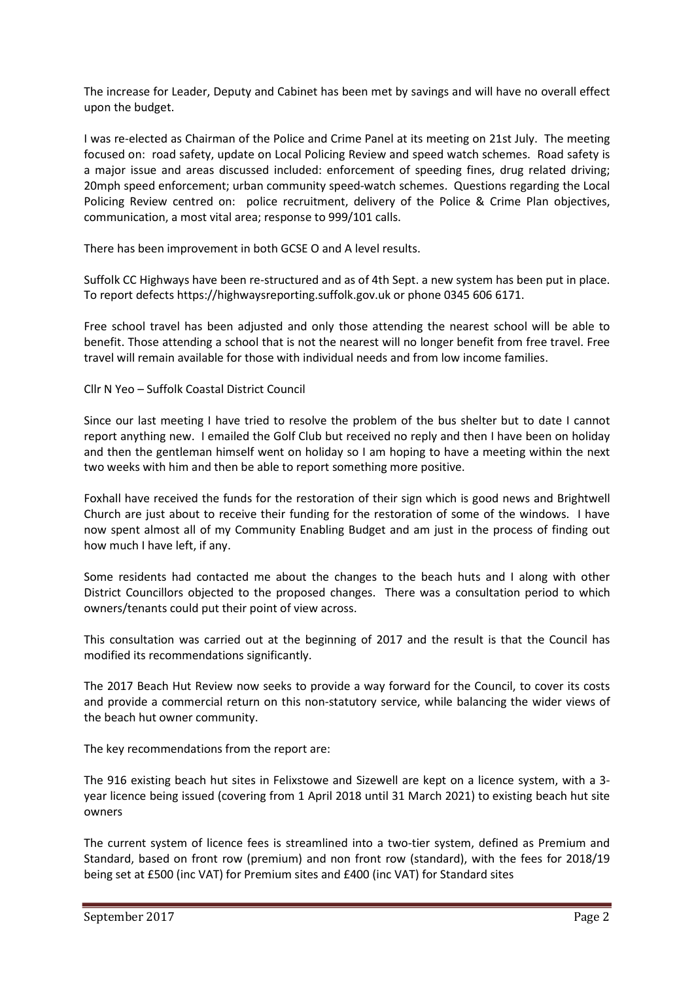The increase for Leader, Deputy and Cabinet has been met by savings and will have no overall effect upon the budget.

I was re-elected as Chairman of the Police and Crime Panel at its meeting on 21st July. The meeting focused on: road safety, update on Local Policing Review and speed watch schemes. Road safety is a major issue and areas discussed included: enforcement of speeding fines, drug related driving; 20mph speed enforcement; urban community speed-watch schemes. Questions regarding the Local Policing Review centred on: police recruitment, delivery of the Police & Crime Plan objectives, communication, a most vital area; response to 999/101 calls.

There has been improvement in both GCSE O and A level results.

Suffolk CC Highways have been re-structured and as of 4th Sept. a new system has been put in place. To report defects https://highwaysreporting.suffolk.gov.uk or phone 0345 606 6171.

Free school travel has been adjusted and only those attending the nearest school will be able to benefit. Those attending a school that is not the nearest will no longer benefit from free travel. Free travel will remain available for those with individual needs and from low income families.

Cllr N Yeo – Suffolk Coastal District Council

Since our last meeting I have tried to resolve the problem of the bus shelter but to date I cannot report anything new. I emailed the Golf Club but received no reply and then I have been on holiday and then the gentleman himself went on holiday so I am hoping to have a meeting within the next two weeks with him and then be able to report something more positive.

Foxhall have received the funds for the restoration of their sign which is good news and Brightwell Church are just about to receive their funding for the restoration of some of the windows. I have now spent almost all of my Community Enabling Budget and am just in the process of finding out how much I have left, if any.

Some residents had contacted me about the changes to the beach huts and I along with other District Councillors objected to the proposed changes. There was a consultation period to which owners/tenants could put their point of view across.

This consultation was carried out at the beginning of 2017 and the result is that the Council has modified its recommendations significantly.

The 2017 Beach Hut Review now seeks to provide a way forward for the Council, to cover its costs and provide a commercial return on this non-statutory service, while balancing the wider views of the beach hut owner community.

The key recommendations from the report are:

The 916 existing beach hut sites in Felixstowe and Sizewell are kept on a licence system, with a 3 year licence being issued (covering from 1 April 2018 until 31 March 2021) to existing beach hut site owners

The current system of licence fees is streamlined into a two-tier system, defined as Premium and Standard, based on front row (premium) and non front row (standard), with the fees for 2018/19 being set at £500 (inc VAT) for Premium sites and £400 (inc VAT) for Standard sites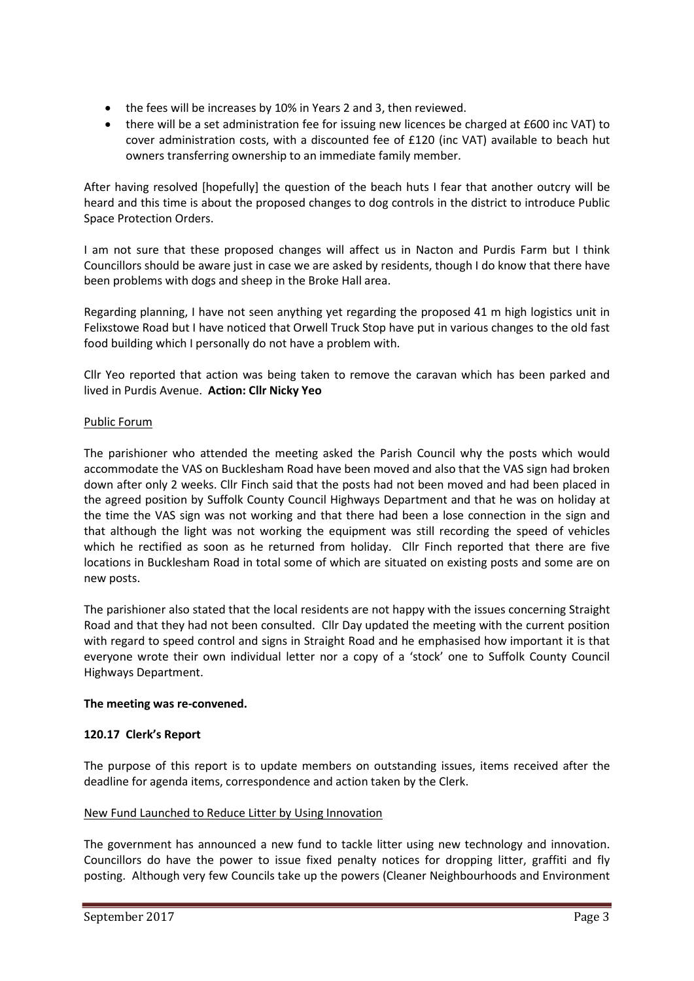- the fees will be increases by 10% in Years 2 and 3, then reviewed.
- there will be a set administration fee for issuing new licences be charged at £600 inc VAT) to cover administration costs, with a discounted fee of £120 (inc VAT) available to beach hut owners transferring ownership to an immediate family member.

After having resolved [hopefully] the question of the beach huts I fear that another outcry will be heard and this time is about the proposed changes to dog controls in the district to introduce Public Space Protection Orders.

I am not sure that these proposed changes will affect us in Nacton and Purdis Farm but I think Councillors should be aware just in case we are asked by residents, though I do know that there have been problems with dogs and sheep in the Broke Hall area.

Regarding planning, I have not seen anything yet regarding the proposed 41 m high logistics unit in Felixstowe Road but I have noticed that Orwell Truck Stop have put in various changes to the old fast food building which I personally do not have a problem with.

Cllr Yeo reported that action was being taken to remove the caravan which has been parked and lived in Purdis Avenue. Action: Cllr Nicky Yeo

# Public Forum

The parishioner who attended the meeting asked the Parish Council why the posts which would accommodate the VAS on Bucklesham Road have been moved and also that the VAS sign had broken down after only 2 weeks. Cllr Finch said that the posts had not been moved and had been placed in the agreed position by Suffolk County Council Highways Department and that he was on holiday at the time the VAS sign was not working and that there had been a lose connection in the sign and that although the light was not working the equipment was still recording the speed of vehicles which he rectified as soon as he returned from holiday. Cllr Finch reported that there are five locations in Bucklesham Road in total some of which are situated on existing posts and some are on new posts.

The parishioner also stated that the local residents are not happy with the issues concerning Straight Road and that they had not been consulted. Cllr Day updated the meeting with the current position with regard to speed control and signs in Straight Road and he emphasised how important it is that everyone wrote their own individual letter nor a copy of a 'stock' one to Suffolk County Council Highways Department.

### The meeting was re-convened.

# 120.17 Clerk's Report

The purpose of this report is to update members on outstanding issues, items received after the deadline for agenda items, correspondence and action taken by the Clerk.

### New Fund Launched to Reduce Litter by Using Innovation

The government has announced a new fund to tackle litter using new technology and innovation. Councillors do have the power to issue fixed penalty notices for dropping litter, graffiti and fly posting. Although very few Councils take up the powers (Cleaner Neighbourhoods and Environment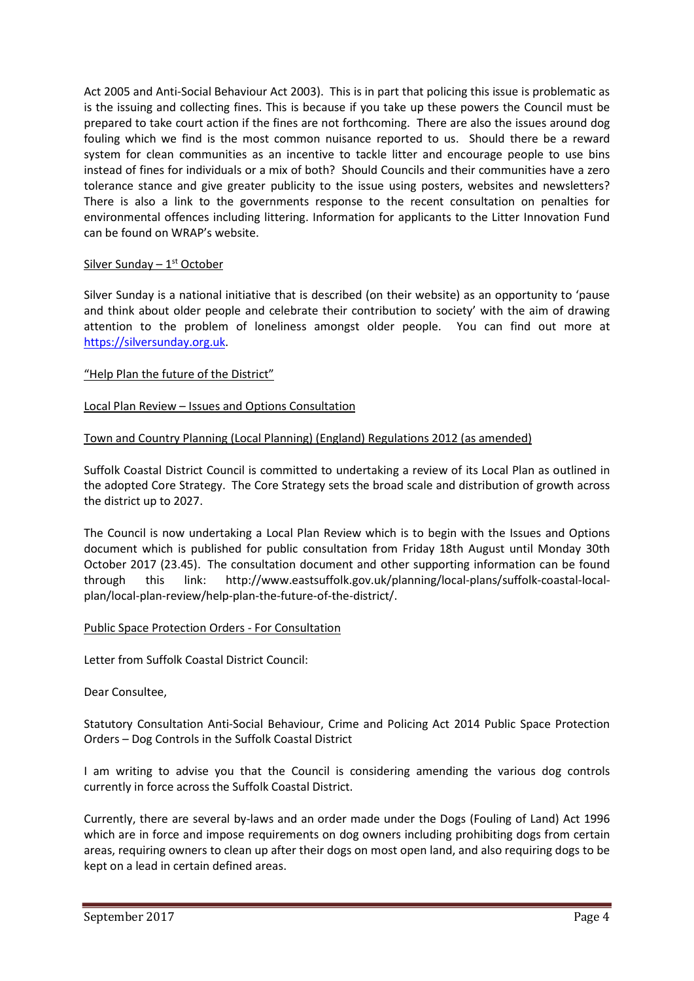Act 2005 and Anti-Social Behaviour Act 2003). This is in part that policing this issue is problematic as is the issuing and collecting fines. This is because if you take up these powers the Council must be prepared to take court action if the fines are not forthcoming. There are also the issues around dog fouling which we find is the most common nuisance reported to us. Should there be a reward system for clean communities as an incentive to tackle litter and encourage people to use bins instead of fines for individuals or a mix of both? Should Councils and their communities have a zero tolerance stance and give greater publicity to the issue using posters, websites and newsletters? There is also a link to the governments response to the recent consultation on penalties for environmental offences including littering. Information for applicants to the Litter Innovation Fund can be found on WRAP's website.

# Silver Sunday  $-1<sup>st</sup> October$

Silver Sunday is a national initiative that is described (on their website) as an opportunity to 'pause and think about older people and celebrate their contribution to society' with the aim of drawing attention to the problem of loneliness amongst older people. You can find out more at https://silversunday.org.uk.

## "Help Plan the future of the District"

## Local Plan Review – Issues and Options Consultation

## Town and Country Planning (Local Planning) (England) Regulations 2012 (as amended)

Suffolk Coastal District Council is committed to undertaking a review of its Local Plan as outlined in the adopted Core Strategy. The Core Strategy sets the broad scale and distribution of growth across the district up to 2027.

The Council is now undertaking a Local Plan Review which is to begin with the Issues and Options document which is published for public consultation from Friday 18th August until Monday 30th October 2017 (23.45). The consultation document and other supporting information can be found through this link: http://www.eastsuffolk.gov.uk/planning/local-plans/suffolk-coastal-localplan/local-plan-review/help-plan-the-future-of-the-district/.

### Public Space Protection Orders - For Consultation

Letter from Suffolk Coastal District Council:

### Dear Consultee,

Statutory Consultation Anti-Social Behaviour, Crime and Policing Act 2014 Public Space Protection Orders – Dog Controls in the Suffolk Coastal District

I am writing to advise you that the Council is considering amending the various dog controls currently in force across the Suffolk Coastal District.

Currently, there are several by-laws and an order made under the Dogs (Fouling of Land) Act 1996 which are in force and impose requirements on dog owners including prohibiting dogs from certain areas, requiring owners to clean up after their dogs on most open land, and also requiring dogs to be kept on a lead in certain defined areas.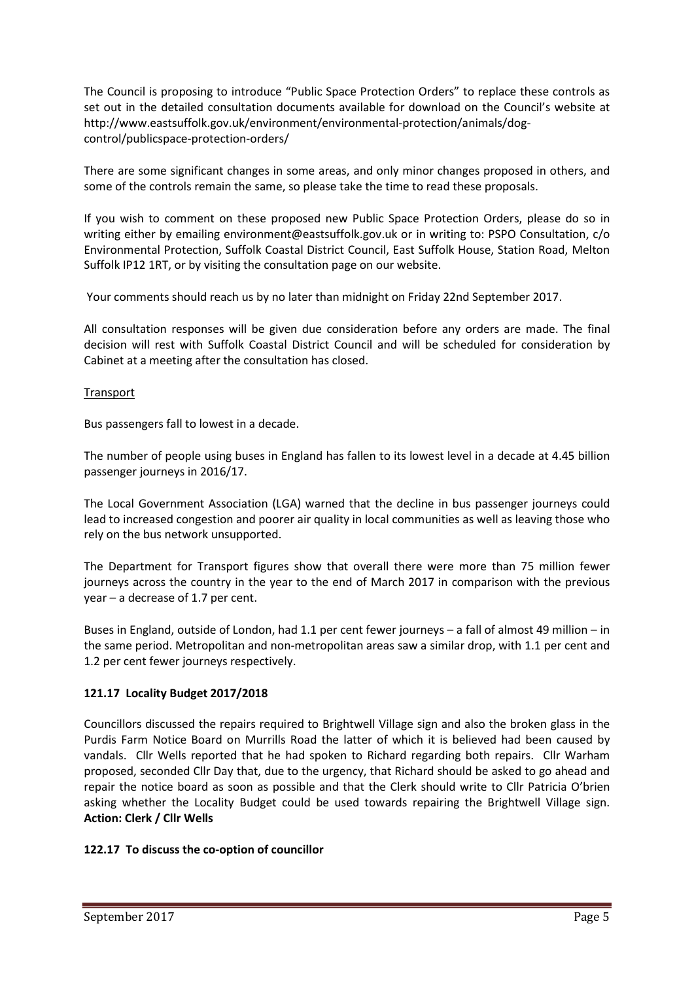The Council is proposing to introduce "Public Space Protection Orders" to replace these controls as set out in the detailed consultation documents available for download on the Council's website at http://www.eastsuffolk.gov.uk/environment/environmental-protection/animals/dogcontrol/publicspace-protection-orders/

There are some significant changes in some areas, and only minor changes proposed in others, and some of the controls remain the same, so please take the time to read these proposals.

If you wish to comment on these proposed new Public Space Protection Orders, please do so in writing either by emailing environment@eastsuffolk.gov.uk or in writing to: PSPO Consultation, c/o Environmental Protection, Suffolk Coastal District Council, East Suffolk House, Station Road, Melton Suffolk IP12 1RT, or by visiting the consultation page on our website.

Your comments should reach us by no later than midnight on Friday 22nd September 2017.

All consultation responses will be given due consideration before any orders are made. The final decision will rest with Suffolk Coastal District Council and will be scheduled for consideration by Cabinet at a meeting after the consultation has closed.

# Transport

Bus passengers fall to lowest in a decade.

The number of people using buses in England has fallen to its lowest level in a decade at 4.45 billion passenger journeys in 2016/17.

The Local Government Association (LGA) warned that the decline in bus passenger journeys could lead to increased congestion and poorer air quality in local communities as well as leaving those who rely on the bus network unsupported.

The Department for Transport figures show that overall there were more than 75 million fewer journeys across the country in the year to the end of March 2017 in comparison with the previous year – a decrease of 1.7 per cent.

Buses in England, outside of London, had 1.1 per cent fewer journeys – a fall of almost 49 million – in the same period. Metropolitan and non-metropolitan areas saw a similar drop, with 1.1 per cent and 1.2 per cent fewer journeys respectively.

# 121.17 Locality Budget 2017/2018

Councillors discussed the repairs required to Brightwell Village sign and also the broken glass in the Purdis Farm Notice Board on Murrills Road the latter of which it is believed had been caused by vandals. Cllr Wells reported that he had spoken to Richard regarding both repairs. Cllr Warham proposed, seconded Cllr Day that, due to the urgency, that Richard should be asked to go ahead and repair the notice board as soon as possible and that the Clerk should write to Cllr Patricia O'brien asking whether the Locality Budget could be used towards repairing the Brightwell Village sign. Action: Clerk / Cllr Wells

# 122.17 To discuss the co-option of councillor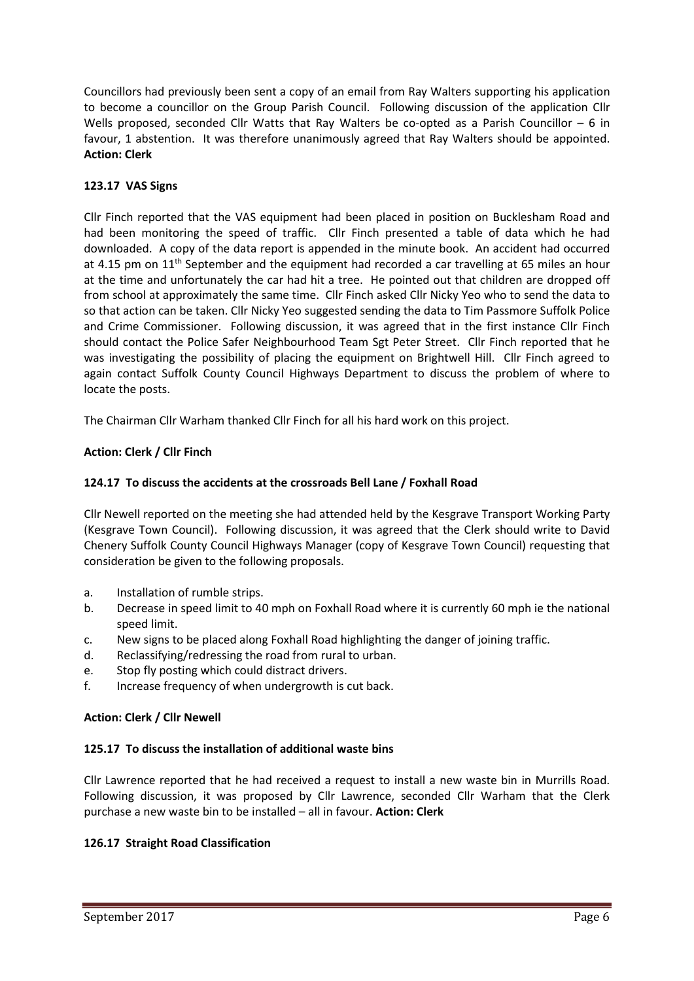Councillors had previously been sent a copy of an email from Ray Walters supporting his application to become a councillor on the Group Parish Council. Following discussion of the application Cllr Wells proposed, seconded Cllr Watts that Ray Walters be co-opted as a Parish Councillor – 6 in favour, 1 abstention. It was therefore unanimously agreed that Ray Walters should be appointed. Action: Clerk

# 123.17 VAS Signs

Cllr Finch reported that the VAS equipment had been placed in position on Bucklesham Road and had been monitoring the speed of traffic. Cllr Finch presented a table of data which he had downloaded. A copy of the data report is appended in the minute book. An accident had occurred at 4.15 pm on  $11<sup>th</sup>$  September and the equipment had recorded a car travelling at 65 miles an hour at the time and unfortunately the car had hit a tree. He pointed out that children are dropped off from school at approximately the same time. Cllr Finch asked Cllr Nicky Yeo who to send the data to so that action can be taken. Cllr Nicky Yeo suggested sending the data to Tim Passmore Suffolk Police and Crime Commissioner. Following discussion, it was agreed that in the first instance Cllr Finch should contact the Police Safer Neighbourhood Team Sgt Peter Street. Cllr Finch reported that he was investigating the possibility of placing the equipment on Brightwell Hill. Cllr Finch agreed to again contact Suffolk County Council Highways Department to discuss the problem of where to locate the posts.

The Chairman Cllr Warham thanked Cllr Finch for all his hard work on this project.

# Action: Clerk / Cllr Finch

# 124.17 To discuss the accidents at the crossroads Bell Lane / Foxhall Road

Cllr Newell reported on the meeting she had attended held by the Kesgrave Transport Working Party (Kesgrave Town Council). Following discussion, it was agreed that the Clerk should write to David Chenery Suffolk County Council Highways Manager (copy of Kesgrave Town Council) requesting that consideration be given to the following proposals.

- a. Installation of rumble strips.
- b. Decrease in speed limit to 40 mph on Foxhall Road where it is currently 60 mph ie the national speed limit.
- c. New signs to be placed along Foxhall Road highlighting the danger of joining traffic.
- d. Reclassifying/redressing the road from rural to urban.
- e. Stop fly posting which could distract drivers.
- f. Increase frequency of when undergrowth is cut back.

# Action: Clerk / Cllr Newell

# 125.17 To discuss the installation of additional waste bins

Cllr Lawrence reported that he had received a request to install a new waste bin in Murrills Road. Following discussion, it was proposed by Cllr Lawrence, seconded Cllr Warham that the Clerk purchase a new waste bin to be installed – all in favour. Action: Clerk

# 126.17 Straight Road Classification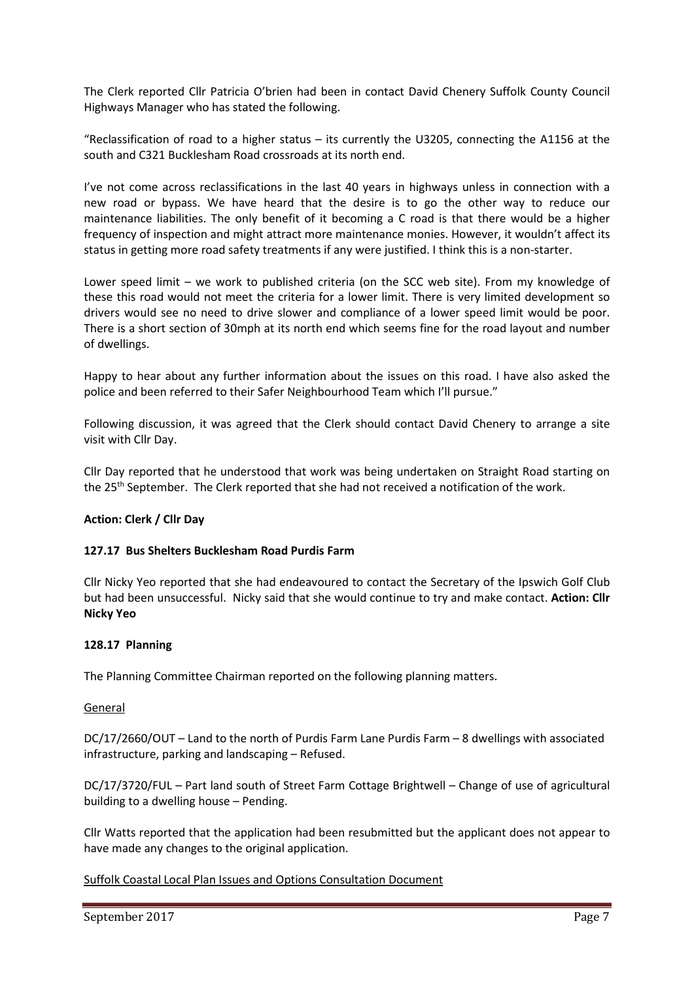The Clerk reported Cllr Patricia O'brien had been in contact David Chenery Suffolk County Council Highways Manager who has stated the following.

"Reclassification of road to a higher status – its currently the U3205, connecting the A1156 at the south and C321 Bucklesham Road crossroads at its north end.

I've not come across reclassifications in the last 40 years in highways unless in connection with a new road or bypass. We have heard that the desire is to go the other way to reduce our maintenance liabilities. The only benefit of it becoming a C road is that there would be a higher frequency of inspection and might attract more maintenance monies. However, it wouldn't affect its status in getting more road safety treatments if any were justified. I think this is a non-starter.

Lower speed limit – we work to published criteria (on the SCC web site). From my knowledge of these this road would not meet the criteria for a lower limit. There is very limited development so drivers would see no need to drive slower and compliance of a lower speed limit would be poor. There is a short section of 30mph at its north end which seems fine for the road layout and number of dwellings.

Happy to hear about any further information about the issues on this road. I have also asked the police and been referred to their Safer Neighbourhood Team which I'll pursue."

Following discussion, it was agreed that the Clerk should contact David Chenery to arrange a site visit with Cllr Day.

Cllr Day reported that he understood that work was being undertaken on Straight Road starting on the 25th September. The Clerk reported that she had not received a notification of the work.

# Action: Clerk / Cllr Day

### 127.17 Bus Shelters Bucklesham Road Purdis Farm

Cllr Nicky Yeo reported that she had endeavoured to contact the Secretary of the Ipswich Golf Club but had been unsuccessful. Nicky said that she would continue to try and make contact. Action: Cllr Nicky Yeo

### 128.17 Planning

The Planning Committee Chairman reported on the following planning matters.

### General

DC/17/2660/OUT – Land to the north of Purdis Farm Lane Purdis Farm – 8 dwellings with associated infrastructure, parking and landscaping – Refused.

DC/17/3720/FUL – Part land south of Street Farm Cottage Brightwell – Change of use of agricultural building to a dwelling house – Pending.

Cllr Watts reported that the application had been resubmitted but the applicant does not appear to have made any changes to the original application.

### Suffolk Coastal Local Plan Issues and Options Consultation Document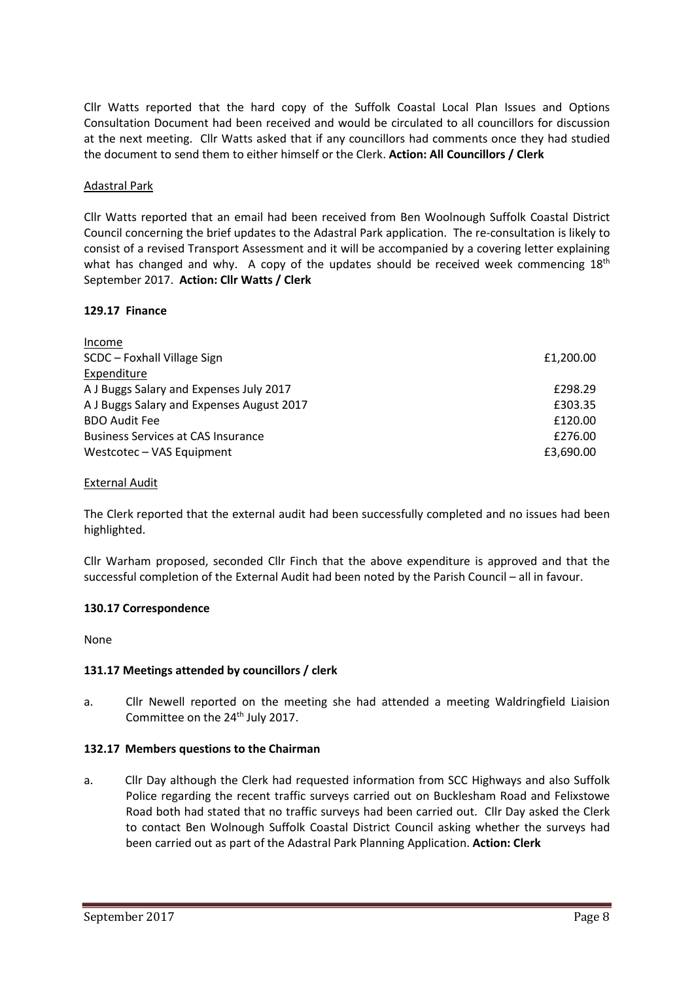Cllr Watts reported that the hard copy of the Suffolk Coastal Local Plan Issues and Options Consultation Document had been received and would be circulated to all councillors for discussion at the next meeting. Cllr Watts asked that if any councillors had comments once they had studied the document to send them to either himself or the Clerk. Action: All Councillors / Clerk

## Adastral Park

Cllr Watts reported that an email had been received from Ben Woolnough Suffolk Coastal District Council concerning the brief updates to the Adastral Park application. The re-consultation is likely to consist of a revised Transport Assessment and it will be accompanied by a covering letter explaining what has changed and why. A copy of the updates should be received week commencing  $18<sup>th</sup>$ September 2017. Action: Cllr Watts / Clerk

## 129.17 Finance

| Income                                    |           |
|-------------------------------------------|-----------|
| SCDC - Foxhall Village Sign               | £1,200.00 |
| Expenditure                               |           |
| A J Buggs Salary and Expenses July 2017   | £298.29   |
| A J Buggs Salary and Expenses August 2017 | £303.35   |
| <b>BDO Audit Fee</b>                      | £120.00   |
| <b>Business Services at CAS Insurance</b> | £276.00   |
| Westcotec – VAS Equipment                 | £3,690.00 |

### External Audit

The Clerk reported that the external audit had been successfully completed and no issues had been highlighted.

Cllr Warham proposed, seconded Cllr Finch that the above expenditure is approved and that the successful completion of the External Audit had been noted by the Parish Council – all in favour.

### 130.17 Correspondence

None

# 131.17 Meetings attended by councillors / clerk

a. Cllr Newell reported on the meeting she had attended a meeting Waldringfield Liaision Committee on the 24<sup>th</sup> July 2017.

### 132.17 Members questions to the Chairman

a. Cllr Day although the Clerk had requested information from SCC Highways and also Suffolk Police regarding the recent traffic surveys carried out on Bucklesham Road and Felixstowe Road both had stated that no traffic surveys had been carried out. Cllr Day asked the Clerk to contact Ben Wolnough Suffolk Coastal District Council asking whether the surveys had been carried out as part of the Adastral Park Planning Application. Action: Clerk